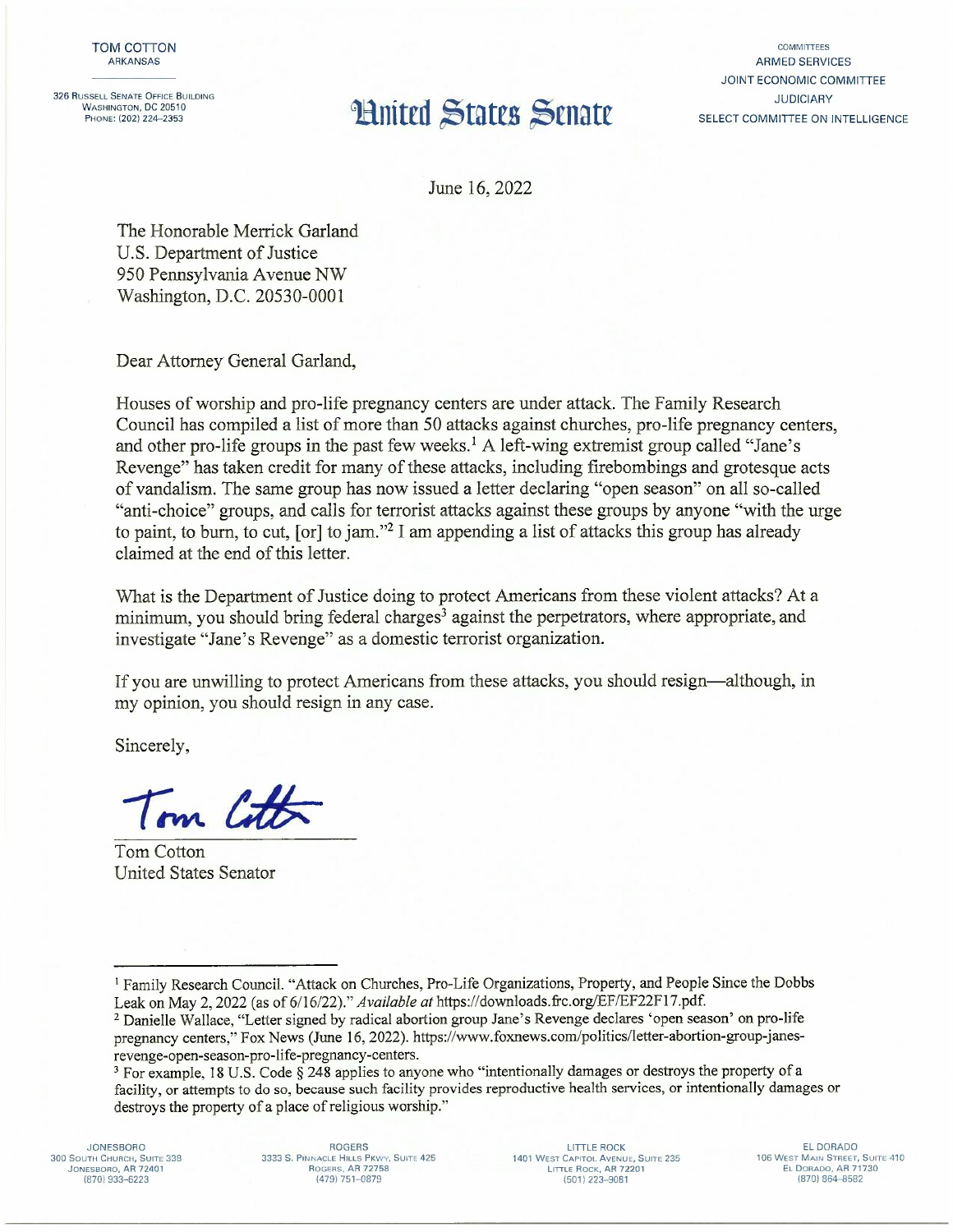326 RUSSELL SENATE OFFICE BUILDING WASHINGTON, DC 20510<br>PHONE: (202) 224-2353

## **Huited States Senate**

**COMMITTEES** ARMED SERVICES JOINT ECONOMIC COMMITIEE JUDICIARY SELECT COMMITTEE ON INTELLIGENCE

June 16,2022

The Honorable Merrick Garland U.S. Department of Justice 950 Pennsylvania Avenue NW Washington, D.C. 20530-0001

Dear Attorney General Garland,

Houses of worship and pro-life pregnancy centers are under attack. The Family Research Council has compiled a list of more than 50 attacks against churches, pro-life pregnancy centers, and other pro-life groups in the past few weeks.<sup>1</sup> A left-wing extremist group called "Jane's Revenge" has taken credit for many of these attacks, including firebombings and grotesque acts of vandalism. The same group has now issued a letter declaring "open season" on all so-called "anti-choice" groups, and calls for terrorist attacks against these groups by anyone "with the urge to paint, to burn, to cut,  $[or]$  to jam."<sup>2</sup> I am appending a list of attacks this group has already claimed at the end of this letter.

What is the Department of Justice doing to protect Americans from these violent attacks? At a minimum, you should bring federal charges<sup>3</sup> against the perpetrators, where appropriate, and investigate "Jane's Revenge" as a domestic terrorist organization.

If you are unwilling to protect Americans from these attacks, you should resign-although, in my opinion, you should resign in any case.

Sincerely,

Tom Cotton

Tom Cotton United States Senator

JONESBORO **300 SOUTH CHURCH, SUITE 338** JONESBORO, AR 72401 (870) 933-6223

ROGERS **3333 S. PINNACLE HILLS PKWY, SUITE 425** ROGERS, AR 72758 (479) 751-0879

LlTILE ROCK **1401 WEST CAPITOL AVENUE, SUITE 235 LITTLE ROCK. AR 72201** (501) 223-9081

EL DORADO **106 WEST MAIN STREET. SUITE 410** EL DORADO, AR 71730 (870) 864-8582

<sup>&</sup>lt;sup>1</sup> Family Research Council. "Attack on Churches, Pro-Life Organizations, Property, and People Since the Dobbs Leak on May 2, 2022 (as of 6/16/22)." *Available at* https://downloads.frc.org/EF/EF22F17.pdf.

<sup>2</sup> Danielle Wallace, "Letter signed by radical abortion group Jane's Revenge declares 'open season' on pro-life pregnancy centers," Fox News (June 16, 2022). https://www.foxnews.com/politics/letter-abortion-group-janesrevenge-open-season-pro-life-pregnancy-centers.

<sup>3</sup> For example, 18 U.S. Code § 248 applies to anyone who "intentionally damages or destroys the property of a facility, or attempts to do so, because such facility provides reproductive health services, or intentionally damages or destroys the property of a place of religious worship."